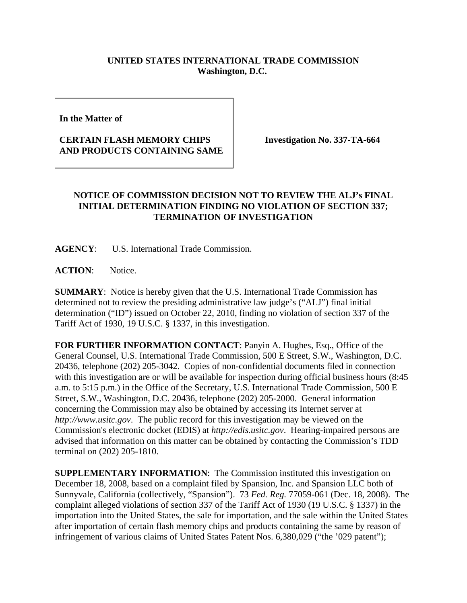## **UNITED STATES INTERNATIONAL TRADE COMMISSION Washington, D.C.**

**In the Matter of** 

## **CERTAIN FLASH MEMORY CHIPS AND PRODUCTS CONTAINING SAME**

**Investigation No. 337-TA-664**

## **NOTICE OF COMMISSION DECISION NOT TO REVIEW THE ALJ's FINAL INITIAL DETERMINATION FINDING NO VIOLATION OF SECTION 337; TERMINATION OF INVESTIGATION**

**AGENCY**: U.S. International Trade Commission.

ACTION: Notice.

**SUMMARY**: Notice is hereby given that the U.S. International Trade Commission has determined not to review the presiding administrative law judge's ("ALJ") final initial determination ("ID") issued on October 22, 2010, finding no violation of section 337 of the Tariff Act of 1930, 19 U.S.C. § 1337, in this investigation.

**FOR FURTHER INFORMATION CONTACT**: Panyin A. Hughes, Esq., Office of the General Counsel, U.S. International Trade Commission, 500 E Street, S.W., Washington, D.C. 20436, telephone (202) 205-3042. Copies of non-confidential documents filed in connection with this investigation are or will be available for inspection during official business hours (8:45 a.m. to 5:15 p.m.) in the Office of the Secretary, U.S. International Trade Commission, 500 E Street, S.W., Washington, D.C. 20436, telephone (202) 205-2000. General information concerning the Commission may also be obtained by accessing its Internet server at *http://www.usitc.gov*. The public record for this investigation may be viewed on the Commission's electronic docket (EDIS) at *http://edis.usitc.gov*. Hearing-impaired persons are advised that information on this matter can be obtained by contacting the Commission's TDD terminal on (202) 205-1810.

**SUPPLEMENTARY INFORMATION**: The Commission instituted this investigation on December 18, 2008, based on a complaint filed by Spansion, Inc. and Spansion LLC both of Sunnyvale, California (collectively, "Spansion"). 73 *Fed. Reg.* 77059-061 (Dec. 18, 2008). The complaint alleged violations of section 337 of the Tariff Act of 1930 (19 U.S.C. § 1337) in the importation into the United States, the sale for importation, and the sale within the United States after importation of certain flash memory chips and products containing the same by reason of infringement of various claims of United States Patent Nos. 6,380,029 ("the '029 patent");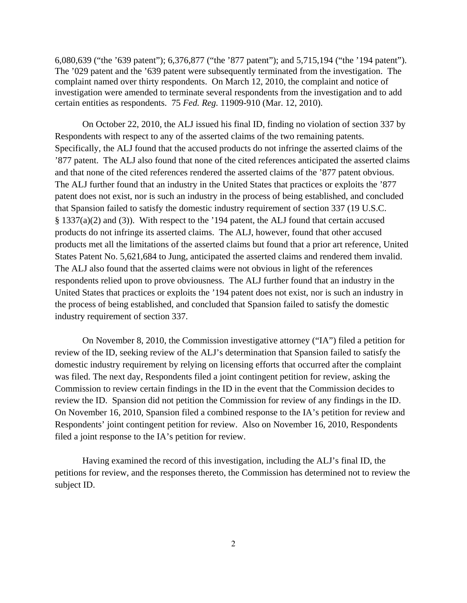6,080,639 ("the '639 patent"); 6,376,877 ("the '877 patent"); and 5,715,194 ("the '194 patent"). The '029 patent and the '639 patent were subsequently terminated from the investigation. The complaint named over thirty respondents. On March 12, 2010, the complaint and notice of investigation were amended to terminate several respondents from the investigation and to add certain entities as respondents. 75 *Fed. Reg.* 11909-910 (Mar. 12, 2010).

On October 22, 2010, the ALJ issued his final ID, finding no violation of section 337 by Respondents with respect to any of the asserted claims of the two remaining patents. Specifically, the ALJ found that the accused products do not infringe the asserted claims of the '877 patent. The ALJ also found that none of the cited references anticipated the asserted claims and that none of the cited references rendered the asserted claims of the '877 patent obvious. The ALJ further found that an industry in the United States that practices or exploits the '877 patent does not exist, nor is such an industry in the process of being established, and concluded that Spansion failed to satisfy the domestic industry requirement of section 337 (19 U.S.C. § 1337(a)(2) and (3)). With respect to the '194 patent, the ALJ found that certain accused products do not infringe its asserted claims. The ALJ, however, found that other accused products met all the limitations of the asserted claims but found that a prior art reference, United States Patent No. 5,621,684 to Jung, anticipated the asserted claims and rendered them invalid. The ALJ also found that the asserted claims were not obvious in light of the references respondents relied upon to prove obviousness. The ALJ further found that an industry in the United States that practices or exploits the '194 patent does not exist, nor is such an industry in the process of being established, and concluded that Spansion failed to satisfy the domestic industry requirement of section 337.

On November 8, 2010, the Commission investigative attorney ("IA") filed a petition for review of the ID, seeking review of the ALJ's determination that Spansion failed to satisfy the domestic industry requirement by relying on licensing efforts that occurred after the complaint was filed. The next day, Respondents filed a joint contingent petition for review, asking the Commission to review certain findings in the ID in the event that the Commission decides to review the ID. Spansion did not petition the Commission for review of any findings in the ID. On November 16, 2010, Spansion filed a combined response to the IA's petition for review and Respondents' joint contingent petition for review. Also on November 16, 2010, Respondents filed a joint response to the IA's petition for review.

Having examined the record of this investigation, including the ALJ's final ID, the petitions for review, and the responses thereto, the Commission has determined not to review the subject ID.